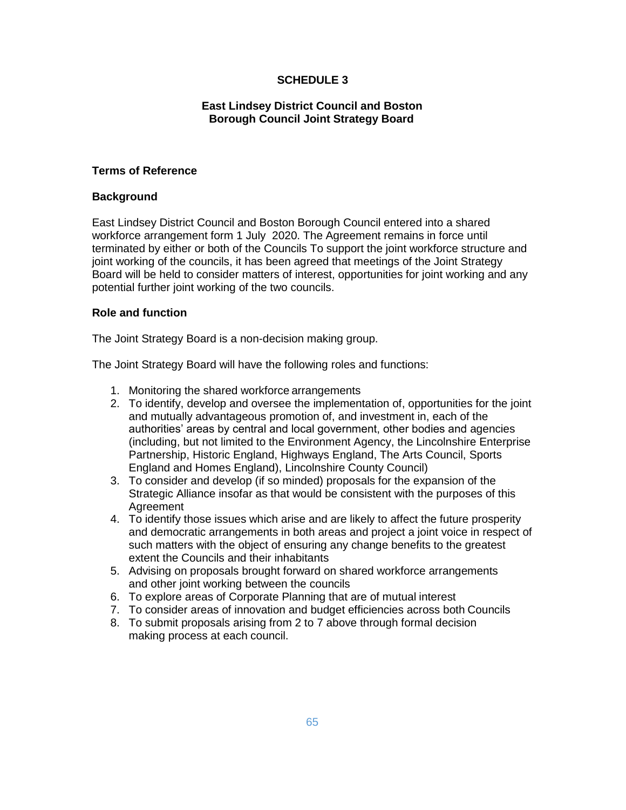# **SCHEDULE 3**

# **East Lindsey District Council and Boston Borough Council Joint Strategy Board**

## **Terms of Reference**

## **Background**

East Lindsey District Council and Boston Borough Council entered into a shared workforce arrangement form 1 July 2020. The Agreement remains in force until terminated by either or both of the Councils To support the joint workforce structure and joint working of the councils, it has been agreed that meetings of the Joint Strategy Board will be held to consider matters of interest, opportunities for joint working and any potential further joint working of the two councils.

#### **Role and function**

The Joint Strategy Board is a non-decision making group.

The Joint Strategy Board will have the following roles and functions:

- 1. Monitoring the shared workforce arrangements
- 2. To identify, develop and oversee the implementation of, opportunities for the joint and mutually advantageous promotion of, and investment in, each of the authorities' areas by central and local government, other bodies and agencies (including, but not limited to the Environment Agency, the Lincolnshire Enterprise Partnership, Historic England, Highways England, The Arts Council, Sports England and Homes England), Lincolnshire County Council)
- 3. To consider and develop (if so minded) proposals for the expansion of the Strategic Alliance insofar as that would be consistent with the purposes of this Agreement
- 4. To identify those issues which arise and are likely to affect the future prosperity and democratic arrangements in both areas and project a joint voice in respect of such matters with the object of ensuring any change benefits to the greatest extent the Councils and their inhabitants
- 5. Advising on proposals brought forward on shared workforce arrangements and other joint working between the councils
- 6. To explore areas of Corporate Planning that are of mutual interest
- 7. To consider areas of innovation and budget efficiencies across both Councils
- 8. To submit proposals arising from 2 to 7 above through formal decision making process at each council.